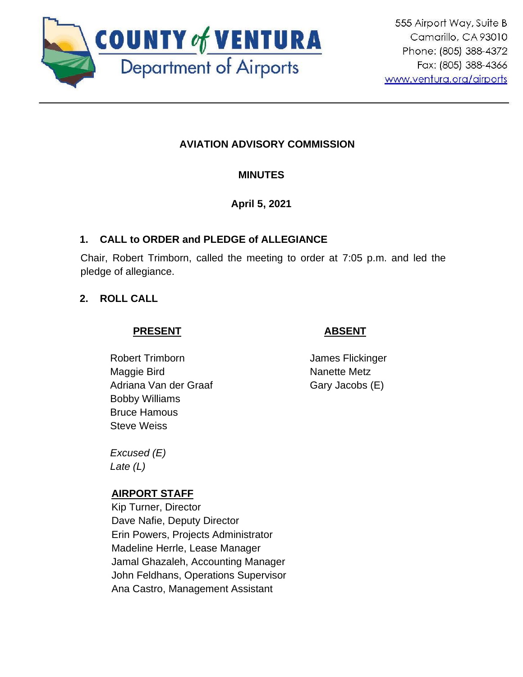

# **AVIATION ADVISORY COMMISSION**

# **MINUTES**

# **April 5, 2021**

# **1. CALL to ORDER and PLEDGE of ALLEGIANCE**

Chair, Robert Trimborn, called the meeting to order at 7:05 p.m. and led the pledge of allegiance.

# **2. ROLL CALL**

# **PRESENT**

# Robert Trimborn Maggie Bird Adriana Van der Graaf Bobby Williams Bruce Hamous Steve Weiss

 **ABSENT**

James Flickinger Nanette Metz Gary Jacobs (E)

*Excused (E) Late (L)*

### **AIRPORT STAFF**

Kip Turner, Director Dave Nafie, Deputy Director Erin Powers, Projects Administrator Madeline Herrle, Lease Manager Jamal Ghazaleh, Accounting Manager John Feldhans, Operations Supervisor Ana Castro, Management Assistant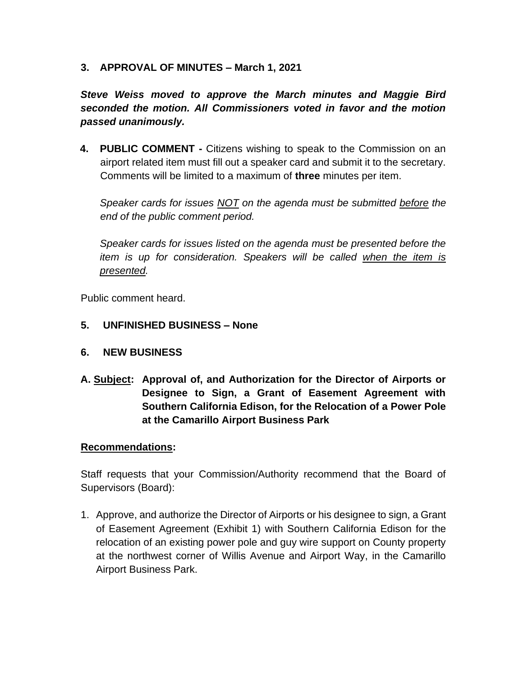#### **3. APPROVAL OF MINUTES – March 1, 2021**

*Steve Weiss moved to approve the March minutes and Maggie Bird seconded the motion. All Commissioners voted in favor and the motion passed unanimously.*

**4. PUBLIC COMMENT -** Citizens wishing to speak to the Commission on an airport related item must fill out a speaker card and submit it to the secretary. Comments will be limited to a maximum of **three** minutes per item.

*Speaker cards for issues NOT on the agenda must be submitted before the end of the public comment period.* 

*Speaker cards for issues listed on the agenda must be presented before the item is up for consideration. Speakers will be called when the item is presented.*

Public comment heard.

#### **5. UNFINISHED BUSINESS – None**

- **6. NEW BUSINESS**
- **A. Subject: Approval of, and Authorization for the Director of Airports or Designee to Sign, a Grant of Easement Agreement with Southern California Edison, for the Relocation of a Power Pole at the Camarillo Airport Business Park**

#### **Recommendations:**

Staff requests that your Commission/Authority recommend that the Board of Supervisors (Board):

1. Approve, and authorize the Director of Airports or his designee to sign, a Grant of Easement Agreement (Exhibit 1) with Southern California Edison for the relocation of an existing power pole and guy wire support on County property at the northwest corner of Willis Avenue and Airport Way, in the Camarillo Airport Business Park.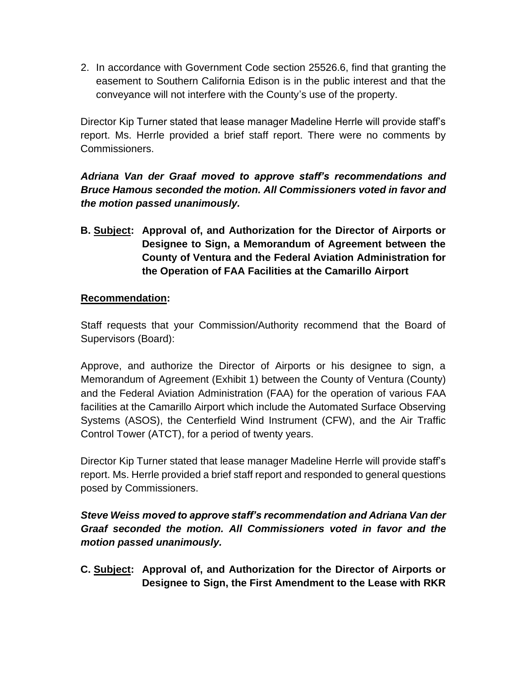2. In accordance with Government Code section 25526.6, find that granting the easement to Southern California Edison is in the public interest and that the conveyance will not interfere with the County's use of the property.

Director Kip Turner stated that lease manager Madeline Herrle will provide staff's report. Ms. Herrle provided a brief staff report. There were no comments by Commissioners.

# *Adriana Van der Graaf moved to approve staff's recommendations and Bruce Hamous seconded the motion. All Commissioners voted in favor and the motion passed unanimously.*

**B. Subject: Approval of, and Authorization for the Director of Airports or Designee to Sign, a Memorandum of Agreement between the County of Ventura and the Federal Aviation Administration for the Operation of FAA Facilities at the Camarillo Airport**

### **Recommendation:**

Staff requests that your Commission/Authority recommend that the Board of Supervisors (Board):

Approve, and authorize the Director of Airports or his designee to sign, a Memorandum of Agreement (Exhibit 1) between the County of Ventura (County) and the Federal Aviation Administration (FAA) for the operation of various FAA facilities at the Camarillo Airport which include the Automated Surface Observing Systems (ASOS), the Centerfield Wind Instrument (CFW), and the Air Traffic Control Tower (ATCT), for a period of twenty years.

Director Kip Turner stated that lease manager Madeline Herrle will provide staff's report. Ms. Herrle provided a brief staff report and responded to general questions posed by Commissioners.

# *Steve Weiss moved to approve staff's recommendation and Adriana Van der Graaf seconded the motion. All Commissioners voted in favor and the motion passed unanimously.*

**C. Subject: Approval of, and Authorization for the Director of Airports or Designee to Sign, the First Amendment to the Lease with RKR**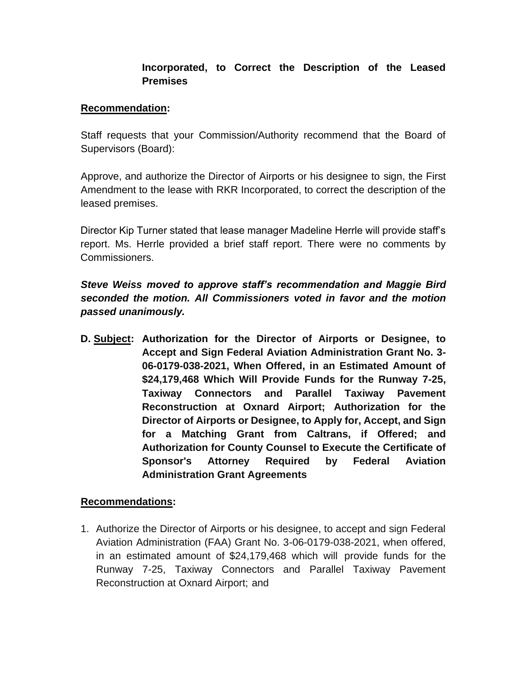# **Incorporated, to Correct the Description of the Leased Premises**

#### **Recommendation:**

Staff requests that your Commission/Authority recommend that the Board of Supervisors (Board):

Approve, and authorize the Director of Airports or his designee to sign, the First Amendment to the lease with RKR Incorporated, to correct the description of the leased premises.

Director Kip Turner stated that lease manager Madeline Herrle will provide staff's report. Ms. Herrle provided a brief staff report. There were no comments by Commissioners.

*Steve Weiss moved to approve staff's recommendation and Maggie Bird seconded the motion. All Commissioners voted in favor and the motion passed unanimously.*

**D. Subject: Authorization for the Director of Airports or Designee, to Accept and Sign Federal Aviation Administration Grant No. 3- 06-0179-038-2021, When Offered, in an Estimated Amount of \$24,179,468 Which Will Provide Funds for the Runway 7-25, Taxiway Connectors and Parallel Taxiway Pavement Reconstruction at Oxnard Airport; Authorization for the Director of Airports or Designee, to Apply for, Accept, and Sign for a Matching Grant from Caltrans, if Offered; and Authorization for County Counsel to Execute the Certificate of Sponsor's Attorney Required by Federal Aviation Administration Grant Agreements**

#### **Recommendations:**

1. Authorize the Director of Airports or his designee, to accept and sign Federal Aviation Administration (FAA) Grant No. 3-06-0179-038-2021, when offered, in an estimated amount of \$24,179,468 which will provide funds for the Runway 7-25, Taxiway Connectors and Parallel Taxiway Pavement Reconstruction at Oxnard Airport; and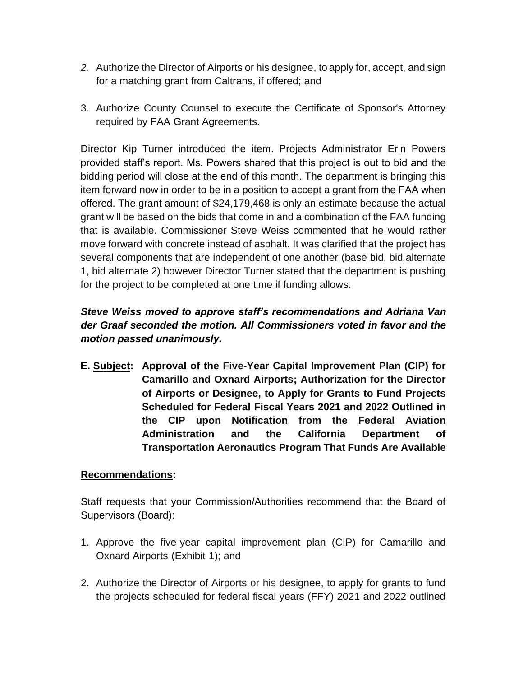- *2.* Authorize the Director of Airports or his designee, to apply for, accept, and sign for a matching grant from Caltrans, if offered; and
- 3. Authorize County Counsel to execute the Certificate of Sponsor's Attorney required by FAA Grant Agreements.

Director Kip Turner introduced the item. Projects Administrator Erin Powers provided staff's report. Ms. Powers shared that this project is out to bid and the bidding period will close at the end of this month. The department is bringing this item forward now in order to be in a position to accept a grant from the FAA when offered. The grant amount of \$24,179,468 is only an estimate because the actual grant will be based on the bids that come in and a combination of the FAA funding that is available. Commissioner Steve Weiss commented that he would rather move forward with concrete instead of asphalt. It was clarified that the project has several components that are independent of one another (base bid, bid alternate 1, bid alternate 2) however Director Turner stated that the department is pushing for the project to be completed at one time if funding allows.

# *Steve Weiss moved to approve staff's recommendations and Adriana Van der Graaf seconded the motion. All Commissioners voted in favor and the motion passed unanimously.*

**E. Subject: Approval of the Five-Year Capital Improvement Plan (CIP) for Camarillo and Oxnard Airports; Authorization for the Director of Airports or Designee, to Apply for Grants to Fund Projects Scheduled for Federal Fiscal Years 2021 and 2022 Outlined in the CIP upon Notification from the Federal Aviation Administration and the California Department of Transportation Aeronautics Program That Funds Are Available**

### **Recommendations:**

Staff requests that your Commission/Authorities recommend that the Board of Supervisors (Board):

- 1. Approve the five-year capital improvement plan (CIP) for Camarillo and Oxnard Airports (Exhibit 1); and
- 2. Authorize the Director of Airports or his designee, to apply for grants to fund the projects scheduled for federal fiscal years (FFY) 2021 and 2022 outlined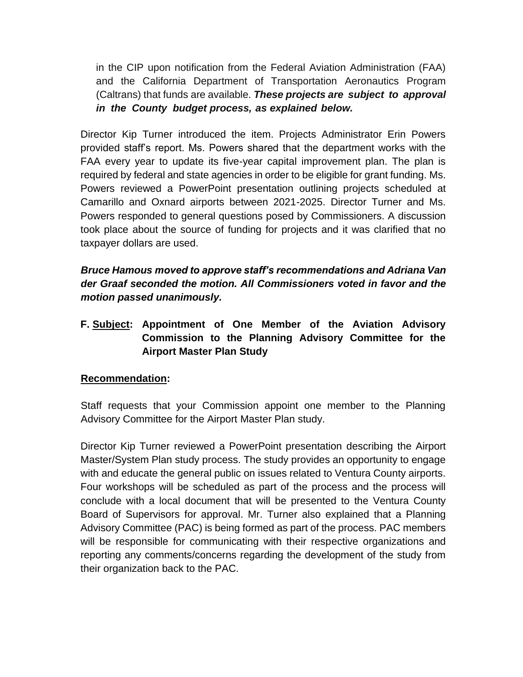in the CIP upon notification from the Federal Aviation Administration (FAA) and the California Department of Transportation Aeronautics Program (Caltrans) that funds are available. *These projects are subject to approval in the County budget process, as explained below.*

Director Kip Turner introduced the item. Projects Administrator Erin Powers provided staff's report. Ms. Powers shared that the department works with the FAA every year to update its five-year capital improvement plan. The plan is required by federal and state agencies in order to be eligible for grant funding. Ms. Powers reviewed a PowerPoint presentation outlining projects scheduled at Camarillo and Oxnard airports between 2021-2025. Director Turner and Ms. Powers responded to general questions posed by Commissioners. A discussion took place about the source of funding for projects and it was clarified that no taxpayer dollars are used.

*Bruce Hamous moved to approve staff's recommendations and Adriana Van der Graaf seconded the motion. All Commissioners voted in favor and the motion passed unanimously.*

**F. Subject: Appointment of One Member of the Aviation Advisory Commission to the Planning Advisory Committee for the Airport Master Plan Study** 

### **Recommendation:**

Staff requests that your Commission appoint one member to the Planning Advisory Committee for the Airport Master Plan study.

Director Kip Turner reviewed a PowerPoint presentation describing the Airport Master/System Plan study process. The study provides an opportunity to engage with and educate the general public on issues related to Ventura County airports. Four workshops will be scheduled as part of the process and the process will conclude with a local document that will be presented to the Ventura County Board of Supervisors for approval. Mr. Turner also explained that a Planning Advisory Committee (PAC) is being formed as part of the process. PAC members will be responsible for communicating with their respective organizations and reporting any comments/concerns regarding the development of the study from their organization back to the PAC.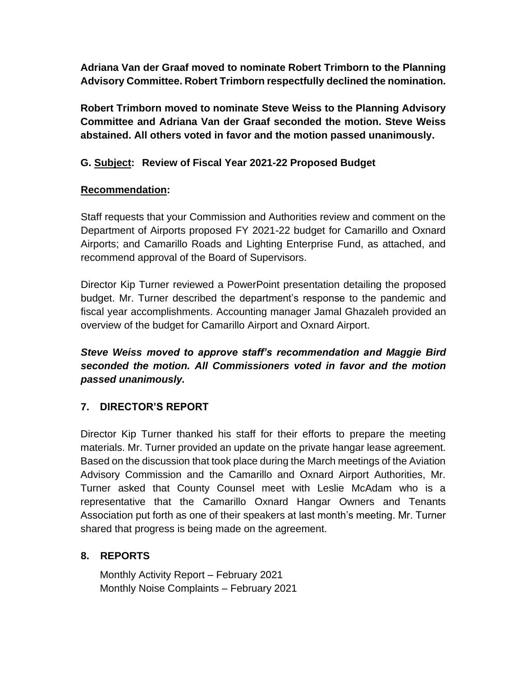**Adriana Van der Graaf moved to nominate Robert Trimborn to the Planning Advisory Committee. Robert Trimborn respectfully declined the nomination.**

**Robert Trimborn moved to nominate Steve Weiss to the Planning Advisory Committee and Adriana Van der Graaf seconded the motion. Steve Weiss abstained. All others voted in favor and the motion passed unanimously.** 

# **G. Subject: Review of Fiscal Year 2021-22 Proposed Budget**

# **Recommendation:**

Staff requests that your Commission and Authorities review and comment on the Department of Airports proposed FY 2021-22 budget for Camarillo and Oxnard Airports; and Camarillo Roads and Lighting Enterprise Fund, as attached, and recommend approval of the Board of Supervisors.

Director Kip Turner reviewed a PowerPoint presentation detailing the proposed budget. Mr. Turner described the department's response to the pandemic and fiscal year accomplishments. Accounting manager Jamal Ghazaleh provided an overview of the budget for Camarillo Airport and Oxnard Airport.

*Steve Weiss moved to approve staff's recommendation and Maggie Bird seconded the motion. All Commissioners voted in favor and the motion passed unanimously.*

# **7. DIRECTOR'S REPORT**

Director Kip Turner thanked his staff for their efforts to prepare the meeting materials. Mr. Turner provided an update on the private hangar lease agreement. Based on the discussion that took place during the March meetings of the Aviation Advisory Commission and the Camarillo and Oxnard Airport Authorities, Mr. Turner asked that County Counsel meet with Leslie McAdam who is a representative that the Camarillo Oxnard Hangar Owners and Tenants Association put forth as one of their speakers at last month's meeting. Mr. Turner shared that progress is being made on the agreement.

# **8. REPORTS**

Monthly Activity Report – February 2021 Monthly Noise Complaints – February 2021